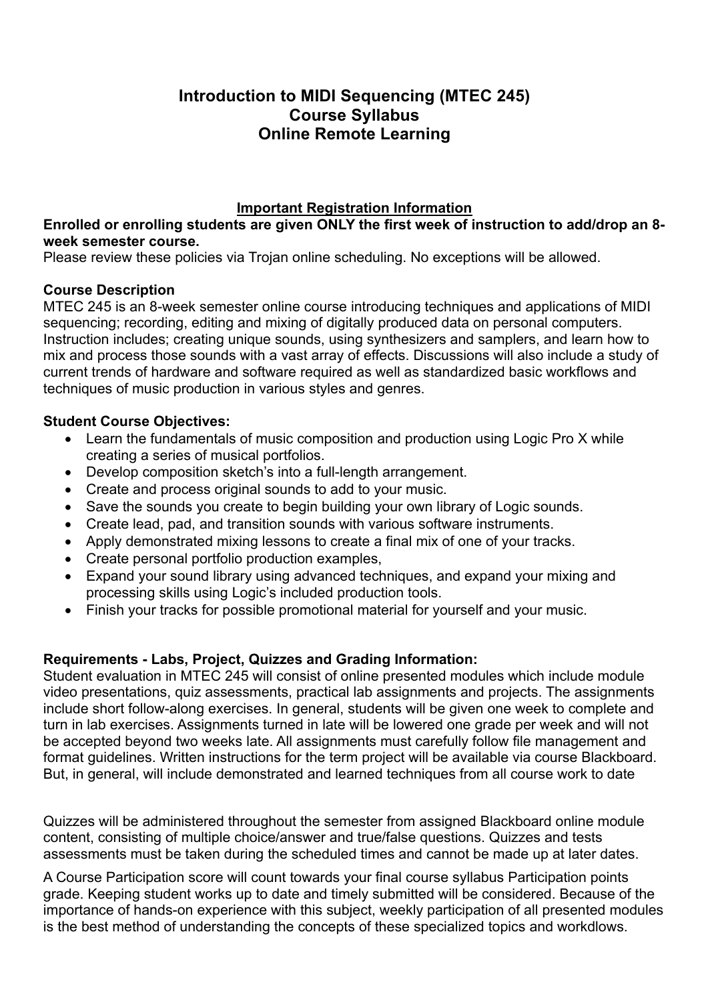# **Introduction to MIDI Sequencing (MTEC 245) Course Syllabus Online Remote Learning**

# **Important Registration Information**

**Enrolled or enrolling students are given ONLY the first week of instruction to add/drop an 8 week semester course.**

Please review these policies via Trojan online scheduling. No exceptions will be allowed.

## **Course Description**

MTEC 245 is an 8-week semester online course introducing techniques and applications of MIDI sequencing; recording, editing and mixing of digitally produced data on personal computers. Instruction includes; creating unique sounds, using synthesizers and samplers, and learn how to mix and process those sounds with a vast array of effects. Discussions will also include a study of current trends of hardware and software required as well as standardized basic workflows and techniques of music production in various styles and genres.

## **Student Course Objectives:**

- Learn the fundamentals of music composition and production using Logic Pro X while creating a series of musical portfolios.
- Develop composition sketch's into a full-length arrangement.
- Create and process original sounds to add to your music.
- Save the sounds you create to begin building your own library of Logic sounds.
- Create lead, pad, and transition sounds with various software instruments.
- Apply demonstrated mixing lessons to create a final mix of one of your tracks.
- Create personal portfolio production examples,
- Expand your sound library using advanced techniques, and expand your mixing and processing skills using Logic's included production tools.
- Finish your tracks for possible promotional material for yourself and your music.

## **Requirements - Labs, Project, Quizzes and Grading Information:**

Student evaluation in MTEC 245 will consist of online presented modules which include module video presentations, quiz assessments, practical lab assignments and projects. The assignments include short follow-along exercises. In general, students will be given one week to complete and turn in lab exercises. Assignments turned in late will be lowered one grade per week and will not be accepted beyond two weeks late. All assignments must carefully follow file management and format guidelines. Written instructions for the term project will be available via course Blackboard. But, in general, will include demonstrated and learned techniques from all course work to date

Quizzes will be administered throughout the semester from assigned Blackboard online module content, consisting of multiple choice/answer and true/false questions. Quizzes and tests assessments must be taken during the scheduled times and cannot be made up at later dates.

A Course Participation score will count towards your final course syllabus Participation points grade. Keeping student works up to date and timely submitted will be considered. Because of the importance of hands-on experience with this subject, weekly participation of all presented modules is the best method of understanding the concepts of these specialized topics and workdlows.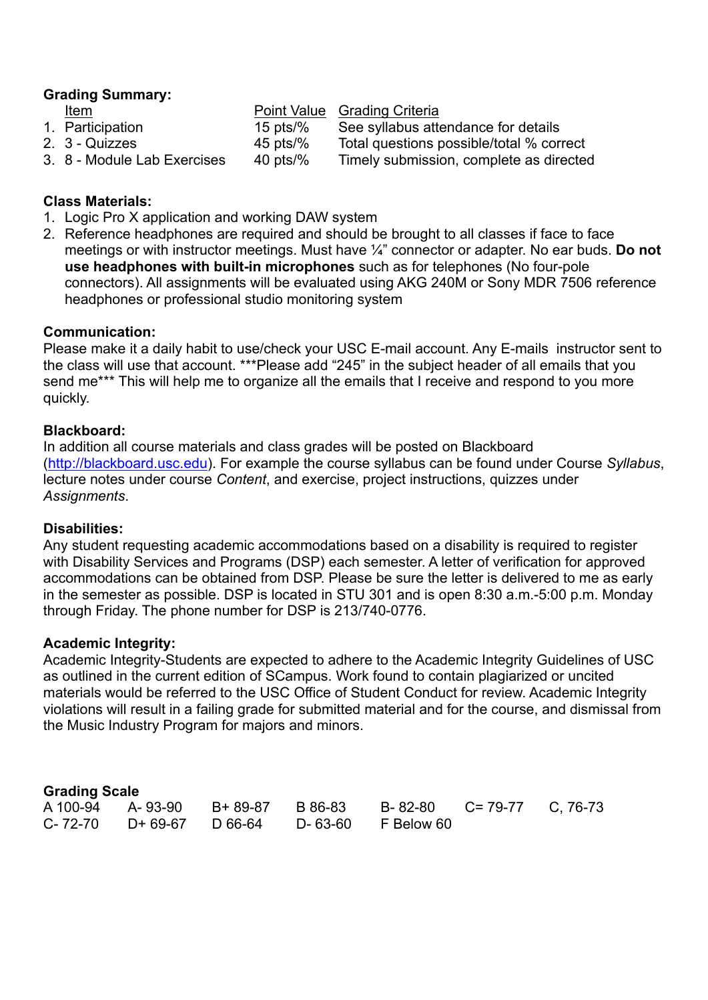## **Grading Summary:**

| Item                        |             | Point Value Grading Criteria             |
|-----------------------------|-------------|------------------------------------------|
| 1. Participation            | 15 pts/ $%$ | See syllabus attendance for details      |
| 2. 3 - Quizzes              | 45 pts/ $%$ | Total questions possible/total % correct |
| 3. 8 - Module Lab Exercises | 40 pts/ $%$ | Timely submission, complete as directed  |

#### **Class Materials:**

- 1. Logic Pro X application and working DAW system
- 2. Reference headphones are required and should be brought to all classes if face to face meetings or with instructor meetings. Must have ¼" connector or adapter. No ear buds. **Do not use headphones with built-in microphones** such as for telephones (No four-pole connectors). All assignments will be evaluated using AKG 240M or Sony MDR 7506 reference headphones or professional studio monitoring system

#### **Communication:**

Please make it a daily habit to use/check your USC E-mail account. Any E-mails instructor sent to the class will use that account. \*\*\*Please add "245" in the subject header of all emails that you send me\*\*\* This will help me to organize all the emails that I receive and respond to you more quickly.

#### **Blackboard:**

In addition all course materials and class grades will be posted on Blackboard (http://blackboard.usc.edu). For example the course syllabus can be found under Course *Syllabus*, lecture notes under course *Content*, and exercise, project instructions, quizzes under *Assignments*.

#### **Disabilities:**

Any student requesting academic accommodations based on a disability is required to register with Disability Services and Programs (DSP) each semester. A letter of verification for approved accommodations can be obtained from DSP. Please be sure the letter is delivered to me as early in the semester as possible. DSP is located in STU 301 and is open 8:30 a.m.-5:00 p.m. Monday through Friday. The phone number for DSP is 213/740-0776.

#### **Academic Integrity:**

Academic Integrity-Students are expected to adhere to the Academic Integrity Guidelines of USC as outlined in the current edition of SCampus. Work found to contain plagiarized or uncited materials would be referred to the USC Office of Student Conduct for review. Academic Integrity violations will result in a failing grade for submitted material and for the course, and dismissal from the Music Industry Program for majors and minors.

#### **Grading Scale**

|  |  | A 100-94 A-93-90 B+89-87 B 86-83 B-82-80 C=79-77 C, 76-73 |  |
|--|--|-----------------------------------------------------------|--|
|  |  | C-72-70 D+69-67 D66-64 D-63-60 F Below 60                 |  |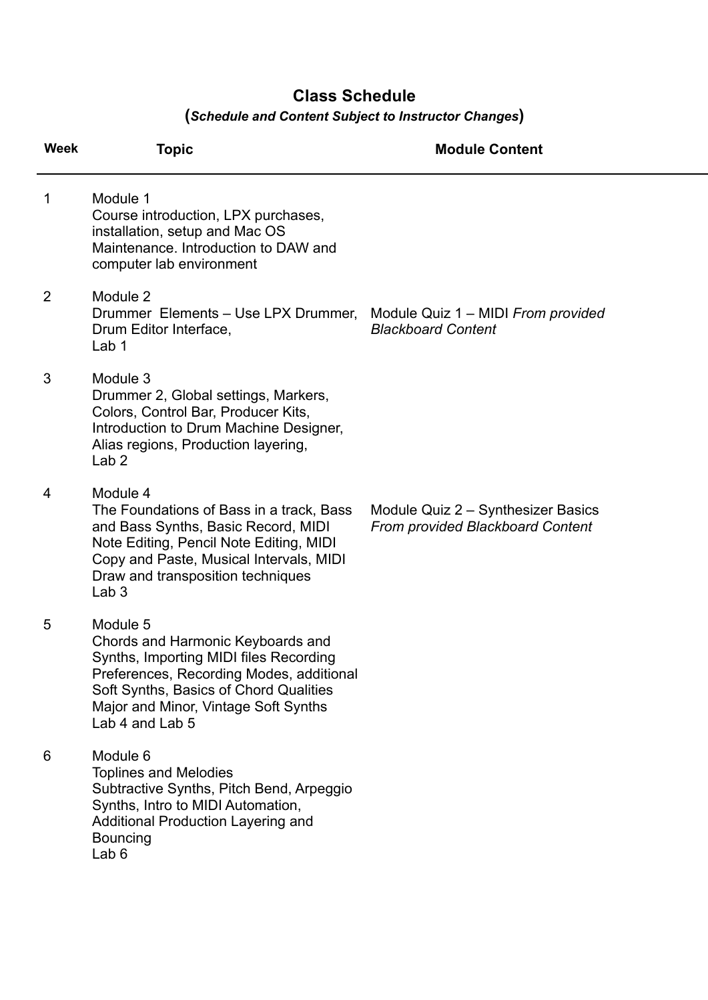# **Class Schedule**

# **(***Schedule and Content Subject to Instructor Changes***)**

| <b>Week</b> | <b>Topic</b>                                                                                                                                                                                                                               | <b>Module Content</b>                                                         |
|-------------|--------------------------------------------------------------------------------------------------------------------------------------------------------------------------------------------------------------------------------------------|-------------------------------------------------------------------------------|
| 1           | Module 1<br>Course introduction, LPX purchases,<br>installation, setup and Mac OS<br>Maintenance. Introduction to DAW and<br>computer lab environment                                                                                      |                                                                               |
| 2           | Module 2<br>Drummer Elements - Use LPX Drummer,<br>Drum Editor Interface,<br>Lab 1                                                                                                                                                         | Module Quiz 1 - MIDI From provided<br><b>Blackboard Content</b>               |
| 3           | Module 3<br>Drummer 2, Global settings, Markers,<br>Colors, Control Bar, Producer Kits,<br>Introduction to Drum Machine Designer,<br>Alias regions, Production layering,<br>Lab <sub>2</sub>                                               |                                                                               |
| 4           | Module 4<br>The Foundations of Bass in a track, Bass<br>and Bass Synths, Basic Record, MIDI<br>Note Editing, Pencil Note Editing, MIDI<br>Copy and Paste, Musical Intervals, MIDI<br>Draw and transposition techniques<br>Lab <sub>3</sub> | Module Quiz 2 - Synthesizer Basics<br><b>From provided Blackboard Content</b> |
| 5           | Module 5<br>Chords and Harmonic Keyboards and<br>Synths, Importing MIDI files Recording<br>Preferences, Recording Modes, additional<br>Soft Synths, Basics of Chord Qualities<br>Major and Minor, Vintage Soft Synths<br>Lab 4 and Lab 5   |                                                                               |
| 6           | Module 6<br><b>Toplines and Melodies</b><br>Subtractive Synths, Pitch Bend, Arpeggio<br>Synths, Intro to MIDI Automation,<br><b>Additional Production Layering and</b><br><b>Bouncing</b><br>Lab <sub>6</sub>                              |                                                                               |